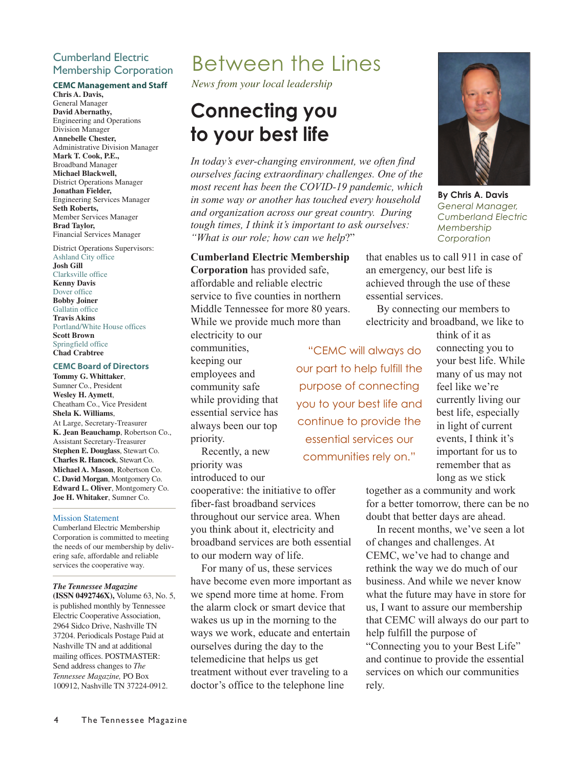### Cumberland Electric Membership Corporation

### **CEMC Management and Staff**

**Chris A. Davis,** General Manager **David Abernathy,** Engineering and Operations Division Manager **Annebelle Chester,** Administrative Division Manager **Mark T. Cook, P.E.,** Broadband Manager **Michael Blackwell,** District Operations Manager **Jonathan Fielder,** Engineering Services Manager **Seth Roberts,** Member Services Manager **Brad Taylor,** Financial Services Manager

District Operations Supervisors: Ashland City office **Josh Gill** Clarksville office **Kenny Davis** Dover office **Bobby Joiner** Gallatin office **Travis Akins** Portland/White House offices **Scott Brown** Springfield office **Chad Crabtree**

#### **CEMC Board of Directors**

**Tommy G. Whittaker**, Sumner Co., President **Wesley H. Aymett**, Cheatham Co., Vice President **Shela K. Williams**, At Large, Secretary-Treasurer **K. Jean Beauchamp**, Robertson Co., Assistant Secretary-Treasurer **Stephen E. Douglass**, Stewart Co. **Charles R. Hancock**, Stewart Co. **Michael A. Mason**, Robertson Co. **C. David Morgan**, Montgomery Co. **Edward L. Oliver**, Montgomery Co. **Joe H. Whitaker**, Sumner Co.

### Mission Statement

Cumberland Electric Membership Corporation is committed to meeting the needs of our membership by delivering safe, affordable and reliable services the cooperative way.

#### *The Tennessee Magazine*

**(ISSN 0492746X),** Volume 63, No. 5, is published monthly by Tennessee Electric Cooperative Association, 2964 Sidco Drive, Nashville TN 37204. Periodicals Postage Paid at Nashville TN and at additional mailing offices. POSTMASTER: Send address changes to *The Tennessee Magazine,* PO Box 100912, Nashville TN 37224-0912.

### Between the Lines

*News from your local leadership*

# **Connecting you**

*the state of the state of the state of the state lind*<br>*In today's ever-changing environment, we often find ourselves facing extraordinary challenges. One of the most recent has been the COVID-19 pandemic, which in some way or another has touched every household and organization across our great country. During tough times, I think it's important to ask ourselves: "What is our role; how can we help*?"

**Cumberland Electric Membership Corporation** has provided safe, affordable and reliable electric service to five counties in northern Middle Tennessee for more 80 years. While we provide much more than

electricity to our communities, keeping our employees and community safe while providing that essential service has always been our top priority.

Recently, a new priority was introduced to our

cooperative: the initiative to offer fiber-fast broadband services throughout our service area. When you think about it, electricity and broadband services are both essential to our modern way of life.

For many of us, these services have become even more important as we spend more time at home. From the alarm clock or smart device that wakes us up in the morning to the ways we work, educate and entertain ourselves during the day to the telemedicine that helps us get treatment without ever traveling to a doctor's office to the telephone line



**By Chris A. Davis** *General Manager, Cumberland Electric Membership Corporation*

that enables us to call 911 in case of an emergency, our best life is achieved through the use of these essential services.

By connecting our members to electricity and broadband, we like to

"CEMC will always do our part to help fulfill the purpose of connecting you to your best life and continue to provide the essential services our communities rely on."

think of it as connecting you to your best life. While many of us may not feel like we're currently living our best life, especially in light of current events, I think it's important for us to remember that as long as we stick

together as a community and work for a better tomorrow, there can be no doubt that better days are ahead.

In recent months, we've seen a lot of changes and challenges. At CEMC, we've had to change and rethink the way we do much of our business. And while we never know what the future may have in store for us, I want to assure our membership that CEMC will always do our part to help fulfill the purpose of "Connecting you to your Best Life"

and continue to provide the essential services on which our communities rely.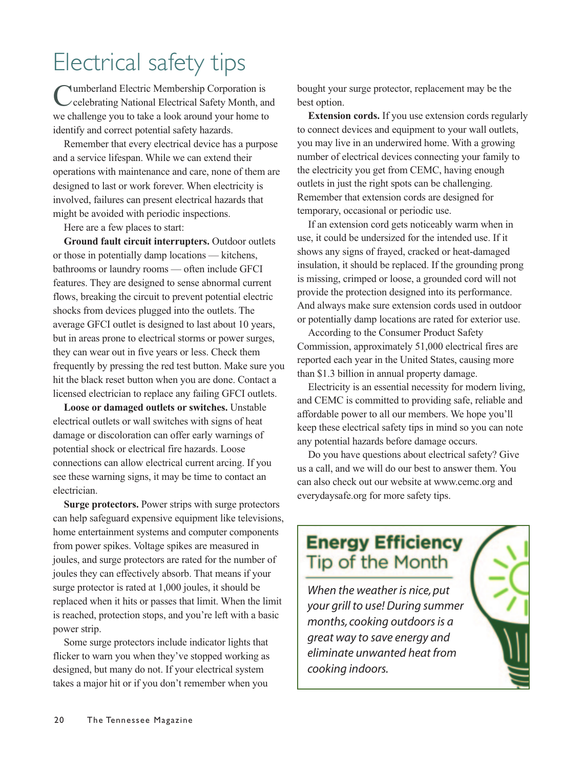## Electrical safety tips

Cumberland Electric Membership Corporation is celebrating National Electrical Safety Month, and we challenge you to take a look around your home to identify and correct potential safety hazards.

Remember that every electrical device has a purpose and a service lifespan. While we can extend their operations with maintenance and care, none of them are designed to last or work forever. When electricity is involved, failures can present electrical hazards that might be avoided with periodic inspections.

Here are a few places to start:

**Ground fault circuit interrupters.** Outdoor outlets or those in potentially damp locations — kitchens, bathrooms or laundry rooms — often include GFCI features. They are designed to sense abnormal current flows, breaking the circuit to prevent potential electric shocks from devices plugged into the outlets. The average GFCI outlet is designed to last about 10 years, but in areas prone to electrical storms or power surges, they can wear out in five years or less. Check them frequently by pressing the red test button. Make sure you hit the black reset button when you are done. Contact a licensed electrician to replace any failing GFCI outlets.

**Loose or damaged outlets or switches.** Unstable electrical outlets or wall switches with signs of heat damage or discoloration can offer early warnings of potential shock or electrical fire hazards. Loose connections can allow electrical current arcing. If you see these warning signs, it may be time to contact an electrician.

**Surge protectors.** Power strips with surge protectors can help safeguard expensive equipment like televisions, home entertainment systems and computer components from power spikes. Voltage spikes are measured in joules, and surge protectors are rated for the number of joules they can effectively absorb. That means if your surge protector is rated at 1,000 joules, it should be replaced when it hits or passes that limit. When the limit is reached, protection stops, and you're left with a basic power strip.

Some surge protectors include indicator lights that flicker to warn you when they've stopped working as designed, but many do not. If your electrical system takes a major hit or if you don't remember when you

bought your surge protector, replacement may be the best option.

**Extension cords.** If you use extension cords regularly to connect devices and equipment to your wall outlets, you may live in an underwired home. With a growing number of electrical devices connecting your family to the electricity you get from CEMC, having enough outlets in just the right spots can be challenging. Remember that extension cords are designed for temporary, occasional or periodic use.

If an extension cord gets noticeably warm when in use, it could be undersized for the intended use. If it shows any signs of frayed, cracked or heat-damaged insulation, it should be replaced. If the grounding prong is missing, crimped or loose, a grounded cord will not provide the protection designed into its performance. And always make sure extension cords used in outdoor or potentially damp locations are rated for exterior use.

According to the Consumer Product Safety Commission, approximately 51,000 electrical fires are reported each year in the United States, causing more than \$1.3 billion in annual property damage.

Electricity is an essential necessity for modern living, and CEMC is committed to providing safe, reliable and affordable power to all our members. We hope you'll keep these electrical safety tips in mind so you can note any potential hazards before damage occurs.

Do you have questions about electrical safety? Give us a call, and we will do our best to answer them. You can also check out our website at www.cemc.org and everydaysafe.org for more safety tips.

### **Energy Efficiency Tip of the Month**

*When the weather is nice, put your grill to use! During summer months, cooking outdoors is a great way to save energy and eliminate unwanted heat from cooking indoors.*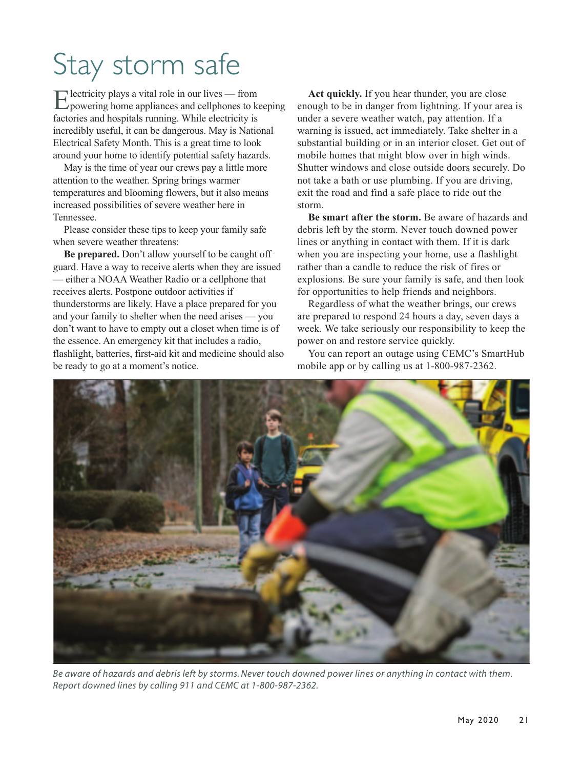# Stay storm safe

Electricity plays a vital role in our lives — from powering home appliances and cellphones to keeping factories and hospitals running. While electricity is incredibly useful, it can be dangerous. May is National Electrical Safety Month. This is a great time to look around your home to identify potential safety hazards.

May is the time of year our crews pay a little more attention to the weather. Spring brings warmer temperatures and blooming flowers, but it also means increased possibilities of severe weather here in Tennessee.

Please consider these tips to keep your family safe when severe weather threatens:

**Be prepared.** Don't allow yourself to be caught off guard. Have a way to receive alerts when they are issued — either a NOAA Weather Radio or a cellphone that receives alerts. Postpone outdoor activities if thunderstorms are likely. Have a place prepared for you and your family to shelter when the need arises — you don't want to have to empty out a closet when time is of the essence. An emergency kit that includes a radio, flashlight, batteries, first-aid kit and medicine should also be ready to go at a moment's notice.

**Act quickly.** If you hear thunder, you are close enough to be in danger from lightning. If your area is under a severe weather watch, pay attention. If a warning is issued, act immediately. Take shelter in a substantial building or in an interior closet. Get out of mobile homes that might blow over in high winds. Shutter windows and close outside doors securely. Do not take a bath or use plumbing. If you are driving, exit the road and find a safe place to ride out the storm.

**Be smart after the storm.** Be aware of hazards and debris left by the storm. Never touch downed power lines or anything in contact with them. If it is dark when you are inspecting your home, use a flashlight rather than a candle to reduce the risk of fires or explosions. Be sure your family is safe, and then look for opportunities to help friends and neighbors.

Regardless of what the weather brings, our crews are prepared to respond 24 hours a day, seven days a week. We take seriously our responsibility to keep the power on and restore service quickly.

You can report an outage using CEMC's SmartHub mobile app or by calling us at 1-800-987-2362.



*Be aware of hazards and debris left by storms. Never touch downed power lines or anything in contact with them. Report downed lines by calling 911 and CEMC at 1-800-987-2362.*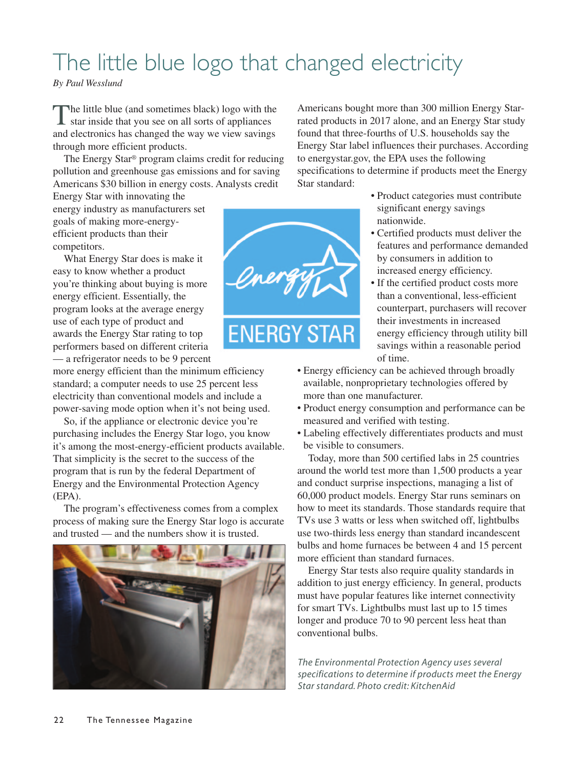## The little blue logo that changed electricity

*By Paul Wesslund*

The little blue (and sometimes black) logo with the star inside that you see on all sorts of appliances and electronics has changed the way we view savings through more efficient products.

The Energy Star® program claims credit for reducing pollution and greenhouse gas emissions and for saving Americans \$30 billion in energy costs. Analysts credit

Energy Star with innovating the energy industry as manufacturers set goals of making more-energyefficient products than their competitors.

What Energy Star does is make it easy to know whether a product you're thinking about buying is more energy efficient. Essentially, the program looks at the average energy use of each type of product and awards the Energy Star rating to top performers based on different criteria — a refrigerator needs to be 9 percent

more energy efficient than the minimum efficiency standard; a computer needs to use 25 percent less electricity than conventional models and include a power-saving mode option when it's not being used.

So, if the appliance or electronic device you're purchasing includes the Energy Star logo, you know it's among the most-energy-efficient products available. That simplicity is the secret to the success of the program that is run by the federal Department of Energy and the Environmental Protection Agency (EPA).

The program's effectiveness comes from a complex process of making sure the Energy Star logo is accurate and trusted — and the numbers show it is trusted.



**ENERGY STAR** 

Americans bought more than 300 million Energy Starrated products in 2017 alone, and an Energy Star study found that three-fourths of U.S. households say the Energy Star label influences their purchases. According to energystar.gov, the EPA uses the following specifications to determine if products meet the Energy Star standard:

- Product categories must contribute significant energy savings nationwide.
- Certified products must deliver the features and performance demanded by consumers in addition to increased energy efficiency.
- If the certified product costs more than a conventional, less-efficient counterpart, purchasers will recover their investments in increased energy efficiency through utility bill savings within a reasonable period of time.
- Energy efficiency can be achieved through broadly available, nonproprietary technologies offered by more than one manufacturer.
- Product energy consumption and performance can be measured and verified with testing.
- Labeling effectively differentiates products and must be visible to consumers.

Today, more than 500 certified labs in 25 countries around the world test more than 1,500 products a year and conduct surprise inspections, managing a list of 60,000 product models. Energy Star runs seminars on how to meet its standards. Those standards require that TVs use 3 watts or less when switched off, lightbulbs use two-thirds less energy than standard incandescent bulbs and home furnaces be between 4 and 15 percent more efficient than standard furnaces.

Energy Star tests also require quality standards in addition to just energy efficiency. In general, products must have popular features like internet connectivity for smart TVs. Lightbulbs must last up to 15 times longer and produce 70 to 90 percent less heat than conventional bulbs.

*The Environmental Protection Agency uses several specifications to determine if products meet the Energy Star standard. Photo credit: KitchenAid*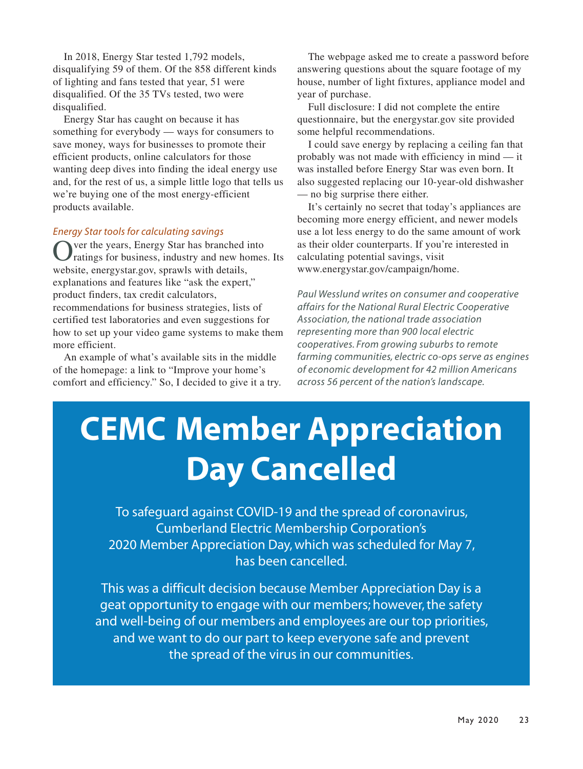In 2018, Energy Star tested 1,792 models, disqualifying 59 of them. Of the 858 different kinds of lighting and fans tested that year, 51 were disqualified. Of the 35 TVs tested, two were disqualified.

Energy Star has caught on because it has something for everybody — ways for consumers to save money, ways for businesses to promote their efficient products, online calculators for those wanting deep dives into finding the ideal energy use and, for the rest of us, a simple little logo that tells us we're buying one of the most energy-efficient products available.

### *Energy Star tools for calculating savings*

Over the years, Energy Star has branched into ratings for business, industry and new homes. Its website, energystar.gov, sprawls with details, explanations and features like "ask the expert," product finders, tax credit calculators, recommendations for business strategies, lists of certified test laboratories and even suggestions for how to set up your video game systems to make them more efficient.

An example of what's available sits in the middle of the homepage: a link to "Improve your home's comfort and efficiency." So, I decided to give it a try.

The webpage asked me to create a password before answering questions about the square footage of my house, number of light fixtures, appliance model and year of purchase.

Full disclosure: I did not complete the entire questionnaire, but the energystar.gov site provided some helpful recommendations.

I could save energy by replacing a ceiling fan that probably was not made with efficiency in mind — it was installed before Energy Star was even born. It also suggested replacing our 10-year-old dishwasher — no big surprise there either.

It's certainly no secret that today's appliances are becoming more energy efficient, and newer models use a lot less energy to do the same amount of work as their older counterparts. If you're interested in calculating potential savings, visit www.energystar.gov/campaign/home.

*Paul Wesslund writes on consumer and cooperative affairs for the National Rural Electric Cooperative Association, the national trade association representing more than 900 local electric cooperatives. From growing suburbs to remote farming communities, electric co-ops serve as engines of economic development for 42 million Americans across 56 percent of the nation's landscape.*

# **CEMC Member Appreciation Day Cancelled**

To safeguard against COVID-19 and the spread of coronavirus, Cumberland Electric Membership Corporation's 2020 Member Appreciation Day, which was scheduled for May 7, has been cancelled.

This was a difficult decision because Member Appreciation Day is a geat opportunity to engage with our members; however, the safety and well-being of our members and employees are our top priorities, and we want to do our part to keep everyone safe and prevent the spread of the virus in our communities.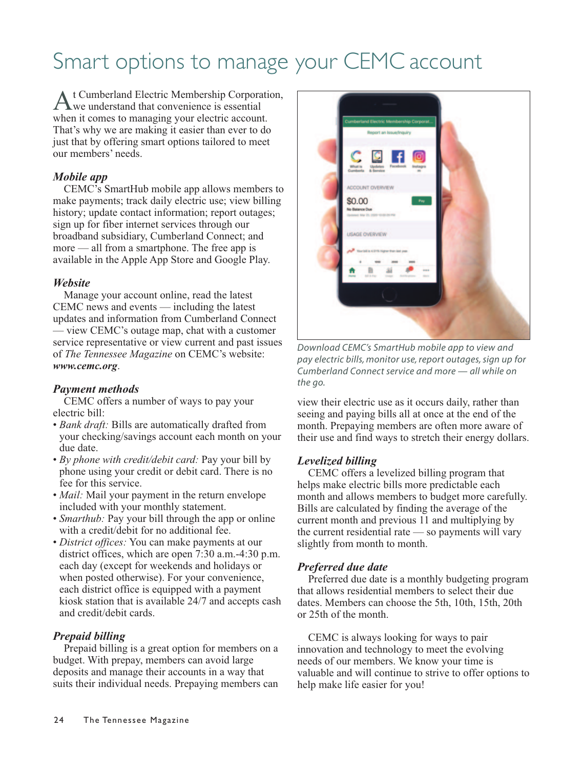## Smart options to manage your CEMC account

At Cumberland Electric Membership Corporation, we understand that convenience is essential when it comes to managing your electric account. That's why we are making it easier than ever to do just that by offering smart options tailored to meet our members' needs.

### *Mobile app*

CEMC's SmartHub mobile app allows members to make payments; track daily electric use; view billing history; update contact information; report outages; sign up for fiber internet services through our broadband subsidiary, Cumberland Connect; and more — all from a smartphone. The free app is available in the Apple App Store and Google Play.

### *Website*

Manage your account online, read the latest CEMC news and events — including the latest updates and information from Cumberland Connect — view CEMC's outage map, chat with a customer service representative or view current and past issues of *The Tennessee Magazine* on CEMC's website: *www.cemc.org*.

### *Payment methods*

CEMC offers a number of ways to pay your electric bill: 

- *Bank draft:* Bills are automatically drafted from your checking/savings account each month on your due date.
- *By phone with credit/debit card:* Pay your bill by phone using your credit or debit card. There is no fee for this service.
- *Mail:* Mail your payment in the return envelope included with your monthly statement.
- *Smarthub*: Pay your bill through the app or online with a credit/debit for no additional fee.
- *District offices:* You can make payments at our district offices, which are open 7:30 a.m.-4:30 p.m. each day (except for weekends and holidays or when posted otherwise). For your convenience, each district office is equipped with a payment kiosk station that is available 24/7 and accepts cash and credit/debit cards.

### *Prepaid billing*

Prepaid billing is a great option for members on a budget. With prepay, members can avoid large deposits and manage their accounts in a way that suits their individual needs. Prepaying members can



*Download CEMC's SmartHub mobile app to view and pay electric bills, monitor use, report outages, sign up for Cumberland Connect service and more — all while on the go.* 

view their electric use as it occurs daily, rather than seeing and paying bills all at once at the end of the month. Prepaying members are often more aware of their use and find ways to stretch their energy dollars.

### *Levelized billing*

CEMC offers a levelized billing program that helps make electric bills more predictable each month and allows members to budget more carefully. Bills are calculated by finding the average of the current month and previous 11 and multiplying by the current residential rate — so payments will vary slightly from month to month.

### *Preferred due date*

Preferred due date is a monthly budgeting program that allows residential members to select their due dates. Members can choose the 5th, 10th, 15th, 20th or 25th of the month.

CEMC is always looking for ways to pair innovation and technology to meet the evolving needs of our members. We know your time is valuable and will continue to strive to offer options to help make life easier for you!